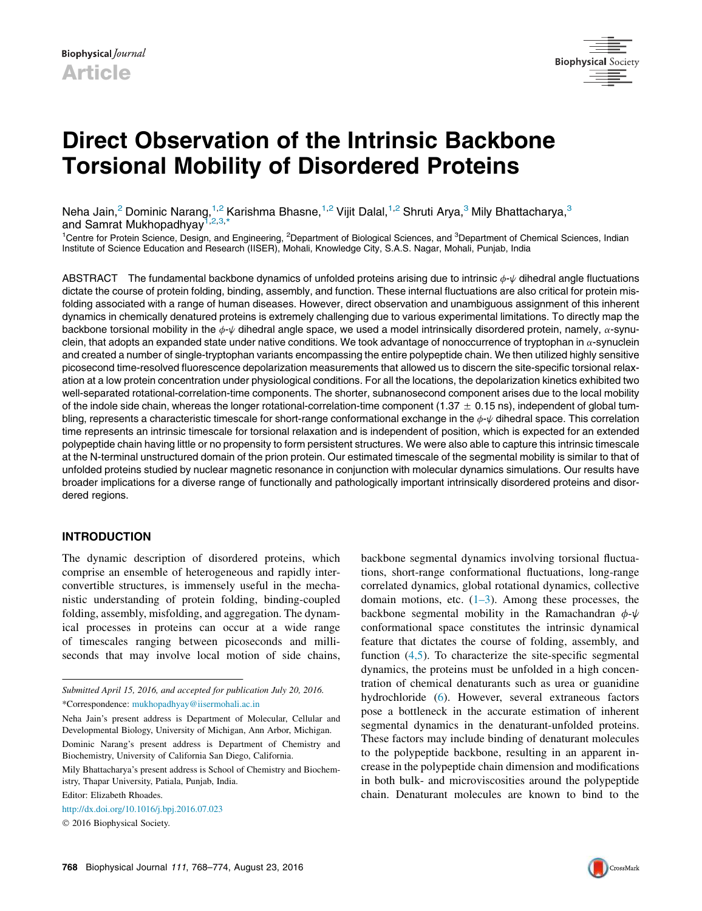

# Direct Observation of the Intrinsic Backbone Torsional Mobility of Disordered Proteins

Neha Jain,<sup>2</sup> Dominic Narang,<sup>1,2</sup> Karishma Bhasne,<sup>1,2</sup> Vijit Dalal,<sup>1,2</sup> Shruti Arya,<sup>3</sup> Mily Bhattacharya,<sup>3</sup> and Samrat Mukhopadhyay<sup>1,2,3,\*</sup>

<sup>1</sup>Centre for Protein Science, Design, and Engineering, <sup>2</sup>Department of Biological Sciences, and <sup>3</sup>Department of Chemical Sciences, Indian Institute of Science Education and Research (IISER), Mohali, Knowledge City, S.A.S. Nagar, Mohali, Punjab, India

ABSTRACT The fundamental backbone dynamics of unfolded proteins arising due to intrinsic  $\phi$ - $\psi$  dihedral angle fluctuations dictate the course of protein folding, binding, assembly, and function. These internal fluctuations are also critical for protein misfolding associated with a range of human diseases. However, direct observation and unambiguous assignment of this inherent dynamics in chemically denatured proteins is extremely challenging due to various experimental limitations. To directly map the backbone torsional mobility in the  $\phi$ - $\psi$  dihedral angle space, we used a model intrinsically disordered protein, namely,  $\alpha$ -synuclein, that adopts an expanded state under native conditions. We took advantage of nonoccurrence of tryptophan in  $\alpha$ -synuclein and created a number of single-tryptophan variants encompassing the entire polypeptide chain. We then utilized highly sensitive picosecond time-resolved fluorescence depolarization measurements that allowed us to discern the site-specific torsional relaxation at a low protein concentration under physiological conditions. For all the locations, the depolarization kinetics exhibited two well-separated rotational-correlation-time components. The shorter, subnanosecond component arises due to the local mobility of the indole side chain, whereas the longer rotational-correlation-time component (1.37  $\pm$  0.15 ns), independent of global tumbling, represents a characteristic timescale for short-range conformational exchange in the  $\phi$ - $\psi$  dihedral space. This correlation time represents an intrinsic timescale for torsional relaxation and is independent of position, which is expected for an extended polypeptide chain having little or no propensity to form persistent structures. We were also able to capture this intrinsic timescale at the N-terminal unstructured domain of the prion protein. Our estimated timescale of the segmental mobility is similar to that of unfolded proteins studied by nuclear magnetic resonance in conjunction with molecular dynamics simulations. Our results have broader implications for a diverse range of functionally and pathologically important intrinsically disordered proteins and disordered regions.

# INTRODUCTION

The dynamic description of disordered proteins, which comprise an ensemble of heterogeneous and rapidly interconvertible structures, is immensely useful in the mechanistic understanding of protein folding, binding-coupled folding, assembly, misfolding, and aggregation. The dynamical processes in proteins can occur at a wide range of timescales ranging between picoseconds and milliseconds that may involve local motion of side chains,

Editor: Elizabeth Rhoades.

http://dx.doi.org/10.1016/j.bpj.2016.07.023

backbone segmental dynamics involving torsional fluctuations, short-range conformational fluctuations, long-range correlated dynamics, global rotational dynamics, collective domain motions, etc.  $(1-3)$ . Among these processes, the backbone segmental mobility in the Ramachandran  $\phi$ - $\psi$ conformational space constitutes the intrinsic dynamical feature that dictates the course of folding, assembly, and function  $(4,5)$ . To characterize the site-specific segmental dynamics, the proteins must be unfolded in a high concentration of chemical denaturants such as urea or guanidine hydrochloride (6). However, several extraneous factors pose a bottleneck in the accurate estimation of inherent segmental dynamics in the denaturant-unfolded proteins. These factors may include binding of denaturant molecules to the polypeptide backbone, resulting in an apparent increase in the polypeptide chain dimension and modifications in both bulk- and microviscosities around the polypeptide chain. Denaturant molecules are known to bind to the



Submitted April 15, 2016, and accepted for publication July 20, 2016. \*Correspondence: mukhopadhyay@iisermohali.ac.in

Neha Jain's present address is Department of Molecular, Cellular and Developmental Biology, University of Michigan, Ann Arbor, Michigan. Dominic Narang's present address is Department of Chemistry and Biochemistry, University of California San Diego, California.

Mily Bhattacharya's present address is School of Chemistry and Biochemistry, Thapar University, Patiala, Punjab, India.

 $©$  2016 Biophysical Society.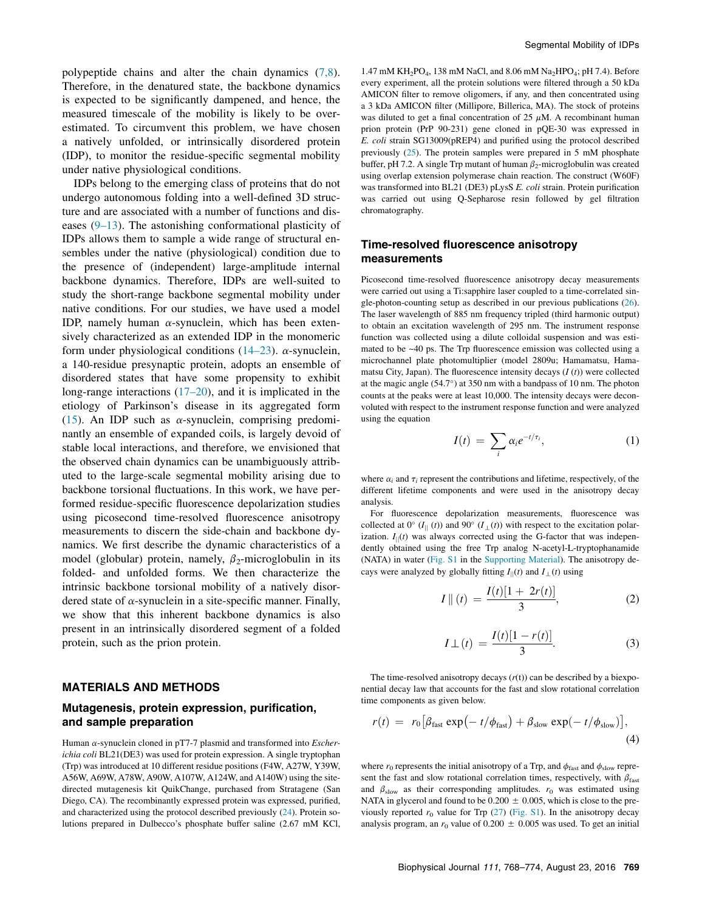polypeptide chains and alter the chain dynamics (7,8). Therefore, in the denatured state, the backbone dynamics is expected to be significantly dampened, and hence, the measured timescale of the mobility is likely to be overestimated. To circumvent this problem, we have chosen a natively unfolded, or intrinsically disordered protein (IDP), to monitor the residue-specific segmental mobility under native physiological conditions.

IDPs belong to the emerging class of proteins that do not undergo autonomous folding into a well-defined 3D structure and are associated with a number of functions and diseases (9–13). The astonishing conformational plasticity of IDPs allows them to sample a wide range of structural ensembles under the native (physiological) condition due to the presence of (independent) large-amplitude internal backbone dynamics. Therefore, IDPs are well-suited to study the short-range backbone segmental mobility under native conditions. For our studies, we have used a model IDP, namely human  $\alpha$ -synuclein, which has been extensively characterized as an extended IDP in the monomeric form under physiological conditions  $(14-23)$ .  $\alpha$ -synuclein, a 140-residue presynaptic protein, adopts an ensemble of disordered states that have some propensity to exhibit long-range interactions (17–20), and it is implicated in the etiology of Parkinson's disease in its aggregated form (15). An IDP such as  $\alpha$ -synuclein, comprising predominantly an ensemble of expanded coils, is largely devoid of stable local interactions, and therefore, we envisioned that the observed chain dynamics can be unambiguously attributed to the large-scale segmental mobility arising due to backbone torsional fluctuations. In this work, we have performed residue-specific fluorescence depolarization studies using picosecond time-resolved fluorescence anisotropy measurements to discern the side-chain and backbone dynamics. We first describe the dynamic characteristics of a model (globular) protein, namely,  $\beta_2$ -microglobulin in its folded- and unfolded forms. We then characterize the intrinsic backbone torsional mobility of a natively disordered state of  $\alpha$ -synuclein in a site-specific manner. Finally, we show that this inherent backbone dynamics is also present in an intrinsically disordered segment of a folded protein, such as the prion protein.

### MATERIALS AND METHODS

## Mutagenesis, protein expression, purification, and sample preparation

Human  $\alpha$ -synuclein cloned in pT7-7 plasmid and transformed into *Escher*ichia coli BL21(DE3) was used for protein expression. A single tryptophan (Trp) was introduced at 10 different residue positions (F4W, A27W, Y39W, A56W, A69W, A78W, A90W, A107W, A124W, and A140W) using the sitedirected mutagenesis kit QuikChange, purchased from Stratagene (San Diego, CA). The recombinantly expressed protein was expressed, purified, and characterized using the protocol described previously (24). Protein solutions prepared in Dulbecco's phosphate buffer saline (2.67 mM KCl, 1.47 mM KH<sub>2</sub>PO<sub>4</sub>, 138 mM NaCl, and 8.06 mM Na<sub>2</sub>HPO<sub>4</sub>; pH 7.4). Before every experiment, all the protein solutions were filtered through a 50 kDa AMICON filter to remove oligomers, if any, and then concentrated using a 3 kDa AMICON filter (Millipore, Billerica, MA). The stock of proteins was diluted to get a final concentration of 25  $\mu$ M. A recombinant human prion protein (PrP 90-231) gene cloned in pQE-30 was expressed in E. coli strain SG13009(pREP4) and purified using the protocol described previously (25). The protein samples were prepared in 5 mM phosphate buffer, pH 7.2. A single Trp mutant of human  $\beta_2$ -microglobulin was created using overlap extension polymerase chain reaction. The construct (W60F) was transformed into BL21 (DE3) pLysS E. coli strain. Protein purification was carried out using Q-Sepharose resin followed by gel filtration chromatography.

## Time-resolved fluorescence anisotropy measurements

Picosecond time-resolved fluorescence anisotropy decay measurements were carried out using a Ti:sapphire laser coupled to a time-correlated single-photon-counting setup as described in our previous publications (26). The laser wavelength of 885 nm frequency tripled (third harmonic output) to obtain an excitation wavelength of 295 nm. The instrument response function was collected using a dilute colloidal suspension and was estimated to be ~40 ps. The Trp fluorescence emission was collected using a microchannel plate photomultiplier (model 2809u; Hamamatsu, Hamamatsu City, Japan). The fluorescence intensity decays  $(I(t))$  were collected at the magic angle (54.7 ) at 350 nm with a bandpass of 10 nm. The photon counts at the peaks were at least 10,000. The intensity decays were deconvoluted with respect to the instrument response function and were analyzed using the equation

$$
I(t) = \sum_{i} \alpha_i e^{-t/\tau_i}, \qquad (1)
$$

where  $\alpha_i$  and  $\tau_i$  represent the contributions and lifetime, respectively, of the different lifetime components and were used in the anisotropy decay analysis.

For fluorescence depolarization measurements, fluorescence was collected at  $0^{\circ}$  ( $I_{\parallel}$  (t)) and  $90^{\circ}$  ( $I_{\perp}(t)$ ) with respect to the excitation polarization.  $I_{\parallel}(t)$  was always corrected using the G-factor that was independently obtained using the free Trp analog N-acetyl-L-tryptophanamide (NATA) in water (Fig. S1 in the Supporting Material). The anisotropy decays were analyzed by globally fitting  $I_{\parallel}(t)$  and  $I_{\perp}(t)$  using

$$
I \parallel (t) = \frac{I(t)[1 + 2r(t)]}{3}, \tag{2}
$$

$$
I \perp (t) = \frac{I(t)[1 - r(t)]}{3}.
$$
 (3)

The time-resolved anisotropy decays  $(r(t))$  can be described by a biexponential decay law that accounts for the fast and slow rotational correlation time components as given below.

$$
r(t) = r_0 \left[ \beta_{\text{fast}} \exp\left(-t/\phi_{\text{fast}}\right) + \beta_{\text{slow}} \exp\left(-t/\phi_{\text{slow}}\right) \right],\tag{4}
$$

where  $r_0$  represents the initial anisotropy of a Trp, and  $\phi_{\text{fast}}$  and  $\phi_{\text{slow}}$  represent the fast and slow rotational correlation times, respectively, with  $\beta_{\text{fast}}$ and  $\beta_{slow}$  as their corresponding amplitudes.  $r_0$  was estimated using NATA in glycerol and found to be  $0.200 \pm 0.005$ , which is close to the previously reported  $r_0$  value for Trp (27) (Fig. S1). In the anisotropy decay analysis program, an  $r_0$  value of 0.200  $\pm$  0.005 was used. To get an initial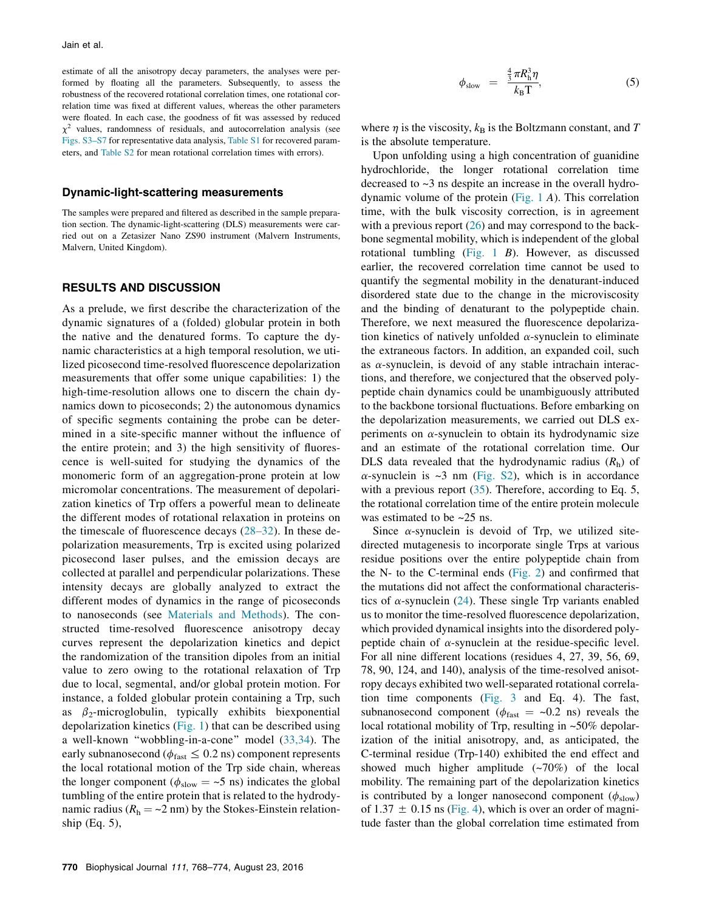estimate of all the anisotropy decay parameters, the analyses were performed by floating all the parameters. Subsequently, to assess the robustness of the recovered rotational correlation times, one rotational correlation time was fixed at different values, whereas the other parameters were floated. In each case, the goodness of fit was assessed by reduced  $\chi^2$  values, randomness of residuals, and autocorrelation analysis (see Figs. S3–S7 for representative data analysis, Table S1 for recovered parameters, and Table S2 for mean rotational correlation times with errors).

#### Dynamic-light-scattering measurements

The samples were prepared and filtered as described in the sample preparation section. The dynamic-light-scattering (DLS) measurements were carried out on a Zetasizer Nano ZS90 instrument (Malvern Instruments, Malvern, United Kingdom).

## RESULTS AND DISCUSSION

As a prelude, we first describe the characterization of the dynamic signatures of a (folded) globular protein in both the native and the denatured forms. To capture the dynamic characteristics at a high temporal resolution, we utilized picosecond time-resolved fluorescence depolarization measurements that offer some unique capabilities: 1) the high-time-resolution allows one to discern the chain dynamics down to picoseconds; 2) the autonomous dynamics of specific segments containing the probe can be determined in a site-specific manner without the influence of the entire protein; and 3) the high sensitivity of fluorescence is well-suited for studying the dynamics of the monomeric form of an aggregation-prone protein at low micromolar concentrations. The measurement of depolarization kinetics of Trp offers a powerful mean to delineate the different modes of rotational relaxation in proteins on the timescale of fluorescence decays (28–32). In these depolarization measurements, Trp is excited using polarized picosecond laser pulses, and the emission decays are collected at parallel and perpendicular polarizations. These intensity decays are globally analyzed to extract the different modes of dynamics in the range of picoseconds to nanoseconds (see Materials and Methods). The constructed time-resolved fluorescence anisotropy decay curves represent the depolarization kinetics and depict the randomization of the transition dipoles from an initial value to zero owing to the rotational relaxation of Trp due to local, segmental, and/or global protein motion. For instance, a folded globular protein containing a Trp, such as  $\beta_2$ -microglobulin, typically exhibits biexponential depolarization kinetics (Fig. 1) that can be described using a well-known ''wobbling-in-a-cone'' model (33,34). The early subnanosecond ( $\phi_{\text{fast}} \leq 0.2$  ns) component represents the local rotational motion of the Trp side chain, whereas the longer component ( $\phi_{slow} = -5$  ns) indicates the global tumbling of the entire protein that is related to the hydrodynamic radius ( $R_h = -2$  nm) by the Stokes-Einstein relationship (Eq. 5),

$$
\phi_{\text{slow}} = \frac{\frac{4}{3}\pi R_{\text{h}}^3 \eta}{k_{\text{B}} \mathbf{T}}, \tag{5}
$$

where  $\eta$  is the viscosity,  $k_B$  is the Boltzmann constant, and T is the absolute temperature.

Upon unfolding using a high concentration of guanidine hydrochloride, the longer rotational correlation time decreased to ~3 ns despite an increase in the overall hydrodynamic volume of the protein (Fig. 1 A). This correlation time, with the bulk viscosity correction, is in agreement with a previous report (26) and may correspond to the backbone segmental mobility, which is independent of the global rotational tumbling  $(Fig. 1 B)$ . However, as discussed earlier, the recovered correlation time cannot be used to quantify the segmental mobility in the denaturant-induced disordered state due to the change in the microviscosity and the binding of denaturant to the polypeptide chain. Therefore, we next measured the fluorescence depolarization kinetics of natively unfolded  $\alpha$ -synuclein to eliminate the extraneous factors. In addition, an expanded coil, such as  $\alpha$ -synuclein, is devoid of any stable intrachain interactions, and therefore, we conjectured that the observed polypeptide chain dynamics could be unambiguously attributed to the backbone torsional fluctuations. Before embarking on the depolarization measurements, we carried out DLS experiments on  $\alpha$ -synuclein to obtain its hydrodynamic size and an estimate of the rotational correlation time. Our DLS data revealed that the hydrodynamic radius  $(R<sub>h</sub>)$  of  $\alpha$ -synuclein is ~3 nm (Fig. S2), which is in accordance with a previous report (35). Therefore, according to Eq. 5, the rotational correlation time of the entire protein molecule was estimated to be ~25 ns.

Since  $\alpha$ -synuclein is devoid of Trp, we utilized sitedirected mutagenesis to incorporate single Trps at various residue positions over the entire polypeptide chain from the N- to the C-terminal ends  $(Fig. 2)$  and confirmed that the mutations did not affect the conformational characteristics of  $\alpha$ -synuclein (24). These single Trp variants enabled us to monitor the time-resolved fluorescence depolarization, which provided dynamical insights into the disordered polypeptide chain of  $\alpha$ -synuclein at the residue-specific level. For all nine different locations (residues 4, 27, 39, 56, 69, 78, 90, 124, and 140), analysis of the time-resolved anisotropy decays exhibited two well-separated rotational correlation time components (Fig. 3 and Eq. 4). The fast, subnanosecond component ( $\phi_{\text{fast}} = -0.2$  ns) reveals the local rotational mobility of Trp, resulting in ~50% depolarization of the initial anisotropy, and, as anticipated, the C-terminal residue (Trp-140) exhibited the end effect and showed much higher amplitude  $(-70%)$  of the local mobility. The remaining part of the depolarization kinetics is contributed by a longer nanosecond component  $(\phi_{slow})$ of  $1.37 \pm 0.15$  ns (Fig. 4), which is over an order of magnitude faster than the global correlation time estimated from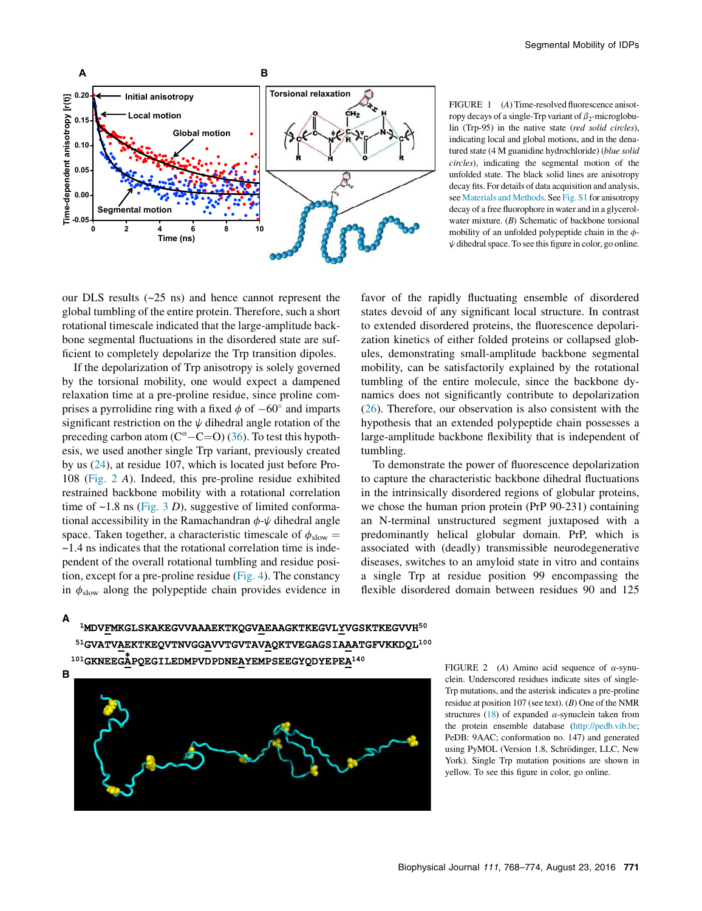

FIGURE 1 (A) Time-resolved fluorescence anisotropy decays of a single-Trp variant of  $\beta_2$ -microglobulin (Trp-95) in the native state (red solid circles), indicating local and global motions, and in the denatured state (4 M guanidine hydrochloride) (blue solid circles), indicating the segmental motion of the unfolded state. The black solid lines are anisotropy decay fits. For details of data acquisition and analysis, seeMaterials and Methods. See Fig. S1 for anisotropy decay of a free fluorophore in water and in a glycerolwater mixture. (B) Schematic of backbone torsional mobility of an unfolded polypeptide chain in the  $\phi$ - $\psi$  dihedral space. To see this figure in color, go online.

our DLS results (~25 ns) and hence cannot represent the global tumbling of the entire protein. Therefore, such a short rotational timescale indicated that the large-amplitude backbone segmental fluctuations in the disordered state are sufficient to completely depolarize the Trp transition dipoles.

If the depolarization of Trp anisotropy is solely governed by the torsional mobility, one would expect a dampened relaxation time at a pre-proline residue, since proline comprises a pyrrolidine ring with a fixed  $\phi$  of  $-60^{\circ}$  and imparts significant restriction on the  $\psi$  dihedral angle rotation of the preceding carbon atom  $(C^{\alpha}-C=O)$  (36). To test this hypothesis, we used another single Trp variant, previously created by us (24), at residue 107, which is located just before Pro-108 (Fig. 2 A). Indeed, this pre-proline residue exhibited restrained backbone mobility with a rotational correlation time of  $\sim$ 1.8 ns (Fig. 3 D), suggestive of limited conformational accessibility in the Ramachandran  $\phi$ - $\psi$  dihedral angle space. Taken together, a characteristic timescale of  $\phi_{slow}$  = ~1.4 ns indicates that the rotational correlation time is independent of the overall rotational tumbling and residue position, except for a pre-proline residue (Fig. 4). The constancy in  $\phi_{slow}$  along the polypeptide chain provides evidence in favor of the rapidly fluctuating ensemble of disordered states devoid of any significant local structure. In contrast to extended disordered proteins, the fluorescence depolarization kinetics of either folded proteins or collapsed globules, demonstrating small-amplitude backbone segmental mobility, can be satisfactorily explained by the rotational tumbling of the entire molecule, since the backbone dynamics does not significantly contribute to depolarization (26). Therefore, our observation is also consistent with the hypothesis that an extended polypeptide chain possesses a large-amplitude backbone flexibility that is independent of tumbling.

To demonstrate the power of fluorescence depolarization to capture the characteristic backbone dihedral fluctuations in the intrinsically disordered regions of globular proteins, we chose the human prion protein (PrP 90-231) containing an N-terminal unstructured segment juxtaposed with a predominantly helical globular domain. PrP, which is associated with (deadly) transmissible neurodegenerative diseases, switches to an amyloid state in vitro and contains a single Trp at residue position 99 encompassing the flexible disordered domain between residues 90 and 125

#### **A**

 $1$ MDVFMKGLSKAKEGVVAAAEKTKQGVAEAAGKTKEGVLYVGSKTKEGVVH $^{50}$  $^{51}$ GVATVAEKTKEQVTNVGGAVVTGVTAVAQKTVEGAGSIAAATGFVKKDQL $^{100}$  $^{101}$ GKNEEGÂPQEGILEDMPVDPDNEAYEMPSEEGYQDYEPEA $^{140}$ 



FIGURE 2 (A) Amino acid sequence of  $\alpha$ -synuclein. Underscored residues indicate sites of single-Trp mutations, and the asterisk indicates a pre-proline residue at position 107 (see text). (B) One of the NMR structures (18) of expanded  $\alpha$ -synuclein taken from the protein ensemble database (http://pedb.vib.be; PeDB: 9AAC; conformation no. 147) and generated using PyMOL (Version 1.8, Schrödinger, LLC, New York). Single Trp mutation positions are shown in yellow. To see this figure in color, go online.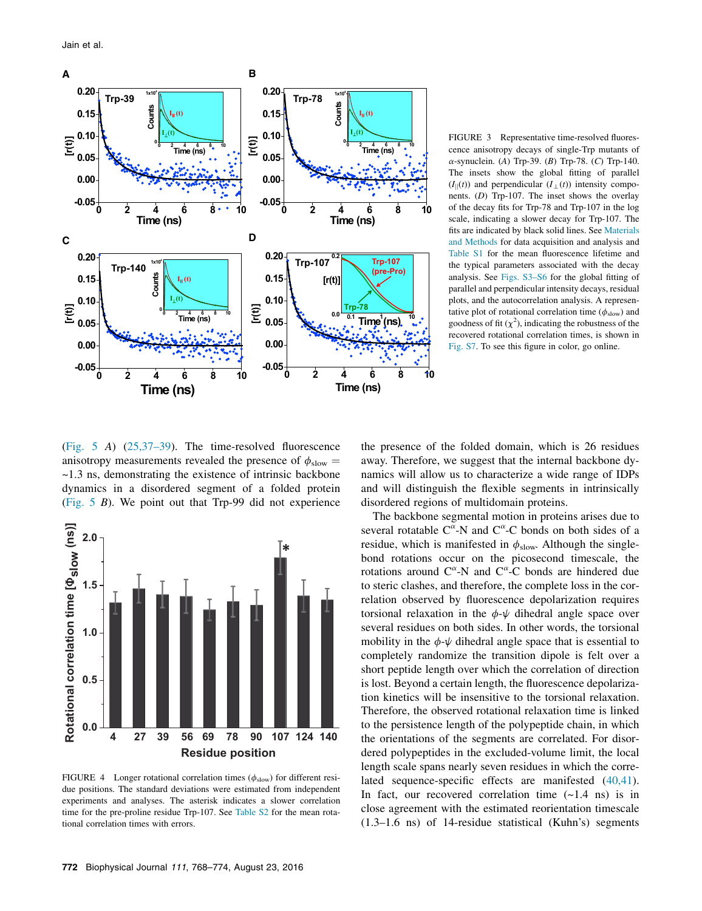

FIGURE 3 Representative time-resolved fluorescence anisotropy decays of single-Trp mutants of  $\alpha$ -synuclein. (A) Trp-39. (B) Trp-78. (C) Trp-140. The insets show the global fitting of parallel  $(I_{\parallel}(t))$  and perpendicular  $(I_{\perp}(t))$  intensity components. (D) Trp-107. The inset shows the overlay of the decay fits for Trp-78 and Trp-107 in the log scale, indicating a slower decay for Trp-107. The fits are indicated by black solid lines. See Materials and Methods for data acquisition and analysis and Table S1 for the mean fluorescence lifetime and the typical parameters associated with the decay analysis. See Figs. S3–S6 for the global fitting of parallel and perpendicular intensity decays, residual plots, and the autocorrelation analysis. A representative plot of rotational correlation time  $(\phi_{slow})$  and goodness of fit  $(\chi^2)$ , indicating the robustness of the recovered rotational correlation times, is shown in Fig. S7. To see this figure in color, go online.

(Fig. 5 A) (25,37–39). The time-resolved fluorescence anisotropy measurements revealed the presence of  $\phi_{slow} =$ ~1.3 ns, demonstrating the existence of intrinsic backbone dynamics in a disordered segment of a folded protein (Fig. 5 B). We point out that Trp-99 did not experience



FIGURE 4 Longer rotational correlation times  $(\phi_{slow})$  for different residue positions. The standard deviations were estimated from independent experiments and analyses. The asterisk indicates a slower correlation time for the pre-proline residue Trp-107. See Table S2 for the mean rotational correlation times with errors.

the presence of the folded domain, which is 26 residues away. Therefore, we suggest that the internal backbone dynamics will allow us to characterize a wide range of IDPs and will distinguish the flexible segments in intrinsically disordered regions of multidomain proteins.

The backbone segmental motion in proteins arises due to several rotatable  $C^{\alpha}$ -N and  $C^{\alpha}$ -C bonds on both sides of a residue, which is manifested in  $\phi_{slow}$ . Although the singlebond rotations occur on the picosecond timescale, the rotations around  $C^{\alpha}$ -N and  $C^{\alpha}$ -C bonds are hindered due to steric clashes, and therefore, the complete loss in the correlation observed by fluorescence depolarization requires torsional relaxation in the  $\phi$ - $\psi$  dihedral angle space over several residues on both sides. In other words, the torsional mobility in the  $\phi$ - $\psi$  dihedral angle space that is essential to completely randomize the transition dipole is felt over a short peptide length over which the correlation of direction is lost. Beyond a certain length, the fluorescence depolarization kinetics will be insensitive to the torsional relaxation. Therefore, the observed rotational relaxation time is linked to the persistence length of the polypeptide chain, in which the orientations of the segments are correlated. For disordered polypeptides in the excluded-volume limit, the local length scale spans nearly seven residues in which the correlated sequence-specific effects are manifested (40,41). In fact, our recovered correlation time  $(-1.4 \text{ ns})$  is in close agreement with the estimated reorientation timescale (1.3–1.6 ns) of 14-residue statistical (Kuhn's) segments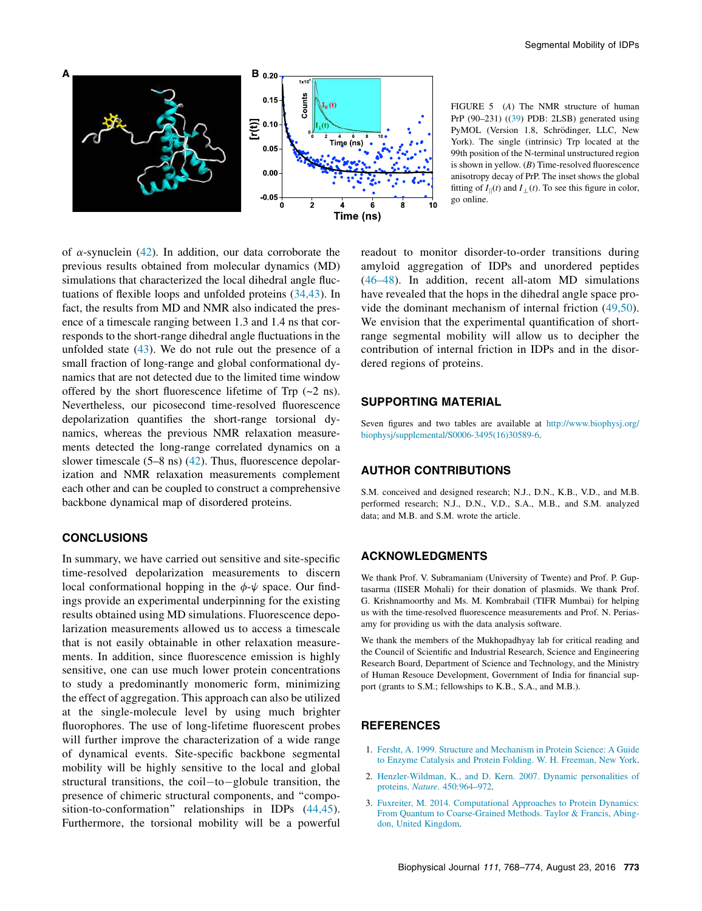

FIGURE 5 (A) The NMR structure of human PrP (90–231) ((39) PDB: 2LSB) generated using PyMOL (Version 1.8, Schrödinger, LLC, New York). The single (intrinsic) Trp located at the 99th position of the N-terminal unstructured region is shown in yellow.  $(B)$  Time-resolved fluorescence anisotropy decay of PrP. The inset shows the global fitting of  $I_{\parallel}(t)$  and  $I_{\perp}(t)$ . To see this figure in color, go online.

of  $\alpha$ -synuclein (42). In addition, our data corroborate the previous results obtained from molecular dynamics (MD) simulations that characterized the local dihedral angle fluctuations of flexible loops and unfolded proteins (34,43). In fact, the results from MD and NMR also indicated the presence of a timescale ranging between 1.3 and 1.4 ns that corresponds to the short-range dihedral angle fluctuations in the unfolded state (43). We do not rule out the presence of a small fraction of long-range and global conformational dynamics that are not detected due to the limited time window offered by the short fluorescence lifetime of  $Trp$  ( $\sim$ 2 ns). Nevertheless, our picosecond time-resolved fluorescence depolarization quantifies the short-range torsional dynamics, whereas the previous NMR relaxation measurements detected the long-range correlated dynamics on a slower timescale  $(5-8 \text{ ns})$   $(42)$ . Thus, fluorescence depolarization and NMR relaxation measurements complement each other and can be coupled to construct a comprehensive backbone dynamical map of disordered proteins.

# **CONCLUSIONS**

In summary, we have carried out sensitive and site-specific time-resolved depolarization measurements to discern local conformational hopping in the  $\phi$ - $\psi$  space. Our findings provide an experimental underpinning for the existing results obtained using MD simulations. Fluorescence depolarization measurements allowed us to access a timescale that is not easily obtainable in other relaxation measurements. In addition, since fluorescence emission is highly sensitive, one can use much lower protein concentrations to study a predominantly monomeric form, minimizing the effect of aggregation. This approach can also be utilized at the single-molecule level by using much brighter fluorophores. The use of long-lifetime fluorescent probes will further improve the characterization of a wide range of dynamical events. Site-specific backbone segmental mobility will be highly sensitive to the local and global structural transitions, the coil $-to$ -globule transition, the presence of chimeric structural components, and ''composition-to-conformation'' relationships in IDPs (44,45). Furthermore, the torsional mobility will be a powerful readout to monitor disorder-to-order transitions during amyloid aggregation of IDPs and unordered peptides (46–48). In addition, recent all-atom MD simulations have revealed that the hops in the dihedral angle space provide the dominant mechanism of internal friction (49,50). We envision that the experimental quantification of shortrange segmental mobility will allow us to decipher the contribution of internal friction in IDPs and in the disordered regions of proteins.

#### SUPPORTING MATERIAL

Seven figures and two tables are available at http://www.biophysj.org/ biophysj/supplemental/S0006-3495(16)30589-6.

## AUTHOR CONTRIBUTIONS

S.M. conceived and designed research; N.J., D.N., K.B., V.D., and M.B. performed research; N.J., D.N., V.D., S.A., M.B., and S.M. analyzed data; and M.B. and S.M. wrote the article.

# ACKNOWLEDGMENTS

We thank Prof. V. Subramaniam (University of Twente) and Prof. P. Guptasarma (IISER Mohali) for their donation of plasmids. We thank Prof. G. Krishnamoorthy and Ms. M. Kombrabail (TIFR Mumbai) for helping us with the time-resolved fluorescence measurements and Prof. N. Periasamy for providing us with the data analysis software.

We thank the members of the Mukhopadhyay lab for critical reading and the Council of Scientific and Industrial Research, Science and Engineering Research Board, Department of Science and Technology, and the Ministry of Human Resouce Development, Government of India for financial support (grants to S.M.; fellowships to K.B., S.A., and M.B.).

## **REFERENCES**

- 1. Fersht, A. 1999. Structure and Mechanism in Protein Science: A Guide to Enzyme Catalysis and Protein Folding. W. H. Freeman, New York.
- 2. Henzler-Wildman, K., and D. Kern. 2007. Dynamic personalities of proteins. Nature. 450:964–972.
- 3. Fuxreiter, M. 2014. Computational Approaches to Protein Dynamics: From Quantum to Coarse-Grained Methods. Taylor & Francis, Abingdon, United Kingdom.